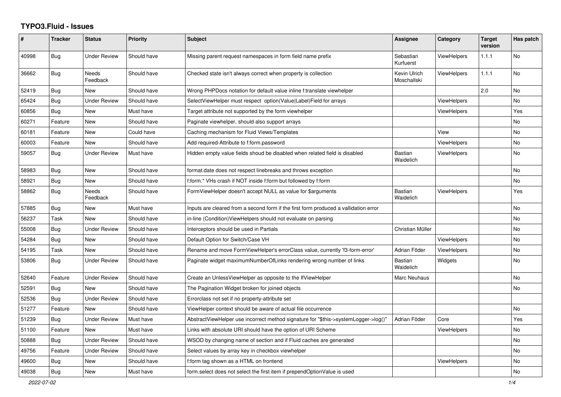## **TYPO3.Fluid - Issues**

| $\pmb{\#}$ | <b>Tracker</b> | <b>Status</b>            | <b>Priority</b> | Subject                                                                              | Assignee                    | Category           | <b>Target</b><br>version | Has patch |
|------------|----------------|--------------------------|-----------------|--------------------------------------------------------------------------------------|-----------------------------|--------------------|--------------------------|-----------|
| 40998      | <b>Bug</b>     | <b>Under Review</b>      | Should have     | Missing parent request namespaces in form field name prefix                          | Sebastian<br>Kurfuerst      | <b>ViewHelpers</b> | 1.1.1                    | <b>No</b> |
| 36662      | Bug            | <b>Needs</b><br>Feedback | Should have     | Checked state isn't always correct when property is collection                       | Kevin Ulrich<br>Moschallski | ViewHelpers        | 1.1.1                    | <b>No</b> |
| 52419      | Bug            | <b>New</b>               | Should have     | Wrong PHPDocs notation for default value inline f:translate viewhelper               |                             |                    | 2.0                      | <b>No</b> |
| 65424      | Bug            | <b>Under Review</b>      | Should have     | SelectViewHelper must respect option(Value Label)Field for arrays                    |                             | ViewHelpers        |                          | No        |
| 60856      | <b>Bug</b>     | New                      | Must have       | Target attribute not supported by the form viewhelper                                |                             | ViewHelpers        |                          | Yes       |
| 60271      | Feature        | New                      | Should have     | Paginate viewhelper, should also support arrays                                      |                             |                    |                          | No        |
| 60181      | Feature        | New                      | Could have      | Caching mechanism for Fluid Views/Templates                                          |                             | View               |                          | No        |
| 60003      | Feature        | <b>New</b>               | Should have     | Add required-Attribute to f:form.password                                            |                             | <b>ViewHelpers</b> |                          | <b>No</b> |
| 59057      | <b>Bug</b>     | <b>Under Review</b>      | Must have       | Hidden empty value fields shoud be disabled when related field is disabled           | <b>Bastian</b><br>Waidelich | <b>ViewHelpers</b> |                          | No        |
| 58983      | Bug            | <b>New</b>               | Should have     | format.date does not respect linebreaks and throws exception                         |                             |                    |                          | <b>No</b> |
| 58921      | Bug            | New                      | Should have     | f:form.* VHs crash if NOT inside f:form but followed by f:form                       |                             |                    |                          | <b>No</b> |
| 58862      | Bug            | <b>Needs</b><br>Feedback | Should have     | FormViewHelper doesn't accept NULL as value for \$arguments                          | Bastian<br>Waidelich        | ViewHelpers        |                          | Yes       |
| 57885      | <b>Bug</b>     | New                      | Must have       | Inputs are cleared from a second form if the first form produced a vallidation error |                             |                    |                          | No        |
| 56237      | Task           | New                      | Should have     | in-line (Condition) View Helpers should not evaluate on parsing                      |                             |                    |                          | No        |
| 55008      | Bug            | <b>Under Review</b>      | Should have     | Interceptors should be used in Partials                                              | Christian Müller            |                    |                          | No        |
| 54284      | Bug            | <b>New</b>               | Should have     | Default Option for Switch/Case VH                                                    |                             | <b>ViewHelpers</b> |                          | <b>No</b> |
| 54195      | Task           | <b>New</b>               | Should have     | Rename and move FormViewHelper's errorClass value, currently 'f3-form-error'         | Adrian Föder                | ViewHelpers        |                          | No        |
| 53806      | Bug            | <b>Under Review</b>      | Should have     | Paginate widget maximumNumberOfLinks rendering wrong number of links                 | Bastian<br>Waidelich        | Widgets            |                          | No        |
| 52640      | Feature        | <b>Under Review</b>      | Should have     | Create an UnlessViewHelper as opposite to the IfViewHelper                           | Marc Neuhaus                |                    |                          | <b>No</b> |
| 52591      | <b>Bug</b>     | <b>New</b>               | Should have     | The Pagination Widget broken for joined objects                                      |                             |                    |                          | <b>No</b> |
| 52536      | Bug            | <b>Under Review</b>      | Should have     | Errorclass not set if no property-attribute set                                      |                             |                    |                          |           |
| 51277      | Feature        | New                      | Should have     | ViewHelper context should be aware of actual file occurrence                         |                             |                    |                          | No        |
| 51239      | Bug            | <b>Under Review</b>      | Must have       | AbstractViewHelper use incorrect method signature for "\$this->systemLogger->log()"  | Adrian Föder                | Core               |                          | Yes       |
| 51100      | Feature        | <b>New</b>               | Must have       | Links with absolute URI should have the option of URI Scheme                         |                             | <b>ViewHelpers</b> |                          | <b>No</b> |
| 50888      | Bug            | <b>Under Review</b>      | Should have     | WSOD by changing name of section and if Fluid caches are generated                   |                             |                    |                          | <b>No</b> |
| 49756      | Feature        | <b>Under Review</b>      | Should have     | Select values by array key in checkbox viewhelper                                    |                             |                    |                          | <b>No</b> |
| 49600      | <b>Bug</b>     | New                      | Should have     | f:form tag shown as a HTML on frontend                                               |                             | ViewHelpers        |                          | No        |
| 49038      | Bug            | New                      | Must have       | form select does not select the first item if prependOptionValue is used             |                             |                    |                          | No        |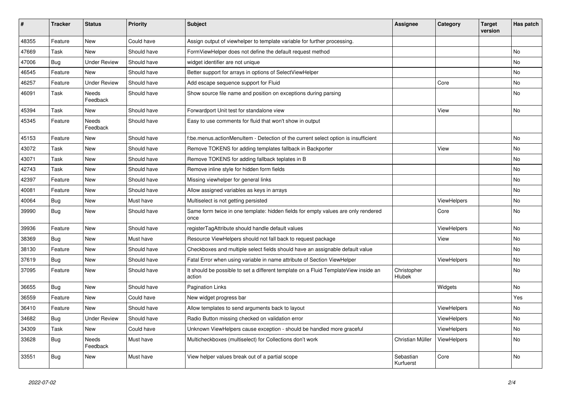| #     | <b>Tracker</b> | <b>Status</b>            | <b>Priority</b> | <b>Subject</b>                                                                                | <b>Assignee</b>        | Category           | <b>Target</b><br>version | Has patch |
|-------|----------------|--------------------------|-----------------|-----------------------------------------------------------------------------------------------|------------------------|--------------------|--------------------------|-----------|
| 48355 | Feature        | <b>New</b>               | Could have      | Assign output of viewhelper to template variable for further processing.                      |                        |                    |                          |           |
| 47669 | Task           | <b>New</b>               | Should have     | FormViewHelper does not define the default request method                                     |                        |                    |                          | <b>No</b> |
| 47006 | Bug            | <b>Under Review</b>      | Should have     | widget identifier are not unique                                                              |                        |                    |                          | No        |
| 46545 | Feature        | <b>New</b>               | Should have     | Better support for arrays in options of SelectViewHelper                                      |                        |                    |                          | No        |
| 46257 | Feature        | <b>Under Review</b>      | Should have     | Add escape sequence support for Fluid                                                         |                        | Core               |                          | <b>No</b> |
| 46091 | Task           | <b>Needs</b><br>Feedback | Should have     | Show source file name and position on exceptions during parsing                               |                        |                    |                          | <b>No</b> |
| 45394 | Task           | New                      | Should have     | Forwardport Unit test for standalone view                                                     |                        | View               |                          | No        |
| 45345 | Feature        | Needs<br>Feedback        | Should have     | Easy to use comments for fluid that won't show in output                                      |                        |                    |                          |           |
| 45153 | Feature        | <b>New</b>               | Should have     | f:be.menus.actionMenuItem - Detection of the current select option is insufficient            |                        |                    |                          | <b>No</b> |
| 43072 | Task           | <b>New</b>               | Should have     | Remove TOKENS for adding templates fallback in Backporter                                     |                        | View               |                          | <b>No</b> |
| 43071 | Task           | <b>New</b>               | Should have     | Remove TOKENS for adding fallback teplates in B                                               |                        |                    |                          | <b>No</b> |
| 42743 | Task           | <b>New</b>               | Should have     | Remove inline style for hidden form fields                                                    |                        |                    |                          | <b>No</b> |
| 42397 | Feature        | New                      | Should have     | Missing viewhelper for general links                                                          |                        |                    |                          | <b>No</b> |
| 40081 | Feature        | <b>New</b>               | Should have     | Allow assigned variables as keys in arrays                                                    |                        |                    |                          | <b>No</b> |
| 40064 | <b>Bug</b>     | New                      | Must have       | Multiselect is not getting persisted                                                          |                        | ViewHelpers        |                          | <b>No</b> |
| 39990 | Bug            | New                      | Should have     | Same form twice in one template: hidden fields for empty values are only rendered<br>once     |                        | Core               |                          | <b>No</b> |
| 39936 | Feature        | <b>New</b>               | Should have     | registerTagAttribute should handle default values                                             |                        | <b>ViewHelpers</b> |                          | <b>No</b> |
| 38369 | Bug            | <b>New</b>               | Must have       | Resource ViewHelpers should not fall back to request package                                  |                        | View               |                          | No        |
| 38130 | Feature        | <b>New</b>               | Should have     | Checkboxes and multiple select fields should have an assignable default value                 |                        |                    |                          | <b>No</b> |
| 37619 | Bug            | <b>New</b>               | Should have     | Fatal Error when using variable in name attribute of Section ViewHelper                       |                        | ViewHelpers        |                          | No        |
| 37095 | Feature        | New                      | Should have     | It should be possible to set a different template on a Fluid TemplateView inside an<br>action | Christopher<br>Hlubek  |                    |                          | <b>No</b> |
| 36655 | Bug            | New                      | Should have     | <b>Pagination Links</b>                                                                       |                        | Widgets            |                          | No        |
| 36559 | Feature        | New                      | Could have      | New widget progress bar                                                                       |                        |                    |                          | Yes       |
| 36410 | Feature        | <b>New</b>               | Should have     | Allow templates to send arguments back to layout                                              |                        | <b>ViewHelpers</b> |                          | <b>No</b> |
| 34682 | Bug            | <b>Under Review</b>      | Should have     | Radio Button missing checked on validation error                                              |                        | ViewHelpers        |                          | <b>No</b> |
| 34309 | Task           | New                      | Could have      | Unknown ViewHelpers cause exception - should be handled more graceful                         |                        | ViewHelpers        |                          | <b>No</b> |
| 33628 | Bug            | Needs<br>Feedback        | Must have       | Multicheckboxes (multiselect) for Collections don't work                                      | Christian Müller       | <b>ViewHelpers</b> |                          | <b>No</b> |
| 33551 | Bug            | New                      | Must have       | View helper values break out of a partial scope                                               | Sebastian<br>Kurfuerst | Core               |                          | <b>No</b> |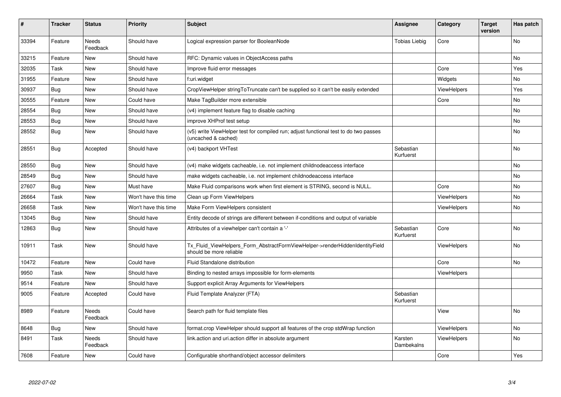| #     | <b>Tracker</b> | <b>Status</b>     | <b>Priority</b>      | <b>Subject</b>                                                                                              | Assignee               | Category           | <b>Target</b><br>version | Has patch |
|-------|----------------|-------------------|----------------------|-------------------------------------------------------------------------------------------------------------|------------------------|--------------------|--------------------------|-----------|
| 33394 | Feature        | Needs<br>Feedback | Should have          | Logical expression parser for BooleanNode                                                                   | <b>Tobias Liebig</b>   | Core               |                          | <b>No</b> |
| 33215 | Feature        | New               | Should have          | RFC: Dynamic values in ObjectAccess paths                                                                   |                        |                    |                          | <b>No</b> |
| 32035 | Task           | New               | Should have          | Improve fluid error messages                                                                                |                        | Core               |                          | Yes       |
| 31955 | Feature        | New               | Should have          | f:uri.widget                                                                                                |                        | Widgets            |                          | No        |
| 30937 | Bug            | New               | Should have          | CropViewHelper stringToTruncate can't be supplied so it can't be easily extended                            |                        | <b>ViewHelpers</b> |                          | Yes       |
| 30555 | Feature        | New               | Could have           | Make TagBuilder more extensible                                                                             |                        | Core               |                          | No        |
| 28554 | Bug            | New               | Should have          | (v4) implement feature flag to disable caching                                                              |                        |                    |                          | No        |
| 28553 | Bug            | New               | Should have          | improve XHProf test setup                                                                                   |                        |                    |                          | <b>No</b> |
| 28552 | <b>Bug</b>     | New               | Should have          | (v5) write ViewHelper test for compiled run; adjust functional test to do two passes<br>(uncached & cached) |                        |                    |                          | <b>No</b> |
| 28551 | Bug            | Accepted          | Should have          | (v4) backport VHTest                                                                                        | Sebastian<br>Kurfuerst |                    |                          | <b>No</b> |
| 28550 | <b>Bug</b>     | New               | Should have          | (v4) make widgets cacheable, i.e. not implement childnodeaccess interface                                   |                        |                    |                          | <b>No</b> |
| 28549 | <b>Bug</b>     | New               | Should have          | make widgets cacheable, i.e. not implement childnodeaccess interface                                        |                        |                    |                          | No        |
| 27607 | Bug            | New               | Must have            | Make Fluid comparisons work when first element is STRING, second is NULL.                                   |                        | Core               |                          | No        |
| 26664 | Task           | New               | Won't have this time | Clean up Form ViewHelpers                                                                                   |                        | <b>ViewHelpers</b> |                          | No        |
| 26658 | Task           | New               | Won't have this time | Make Form ViewHelpers consistent                                                                            |                        | ViewHelpers        |                          | No        |
| 13045 | <b>Bug</b>     | New               | Should have          | Entity decode of strings are different between if-conditions and output of variable                         |                        |                    |                          |           |
| 12863 | Bug            | <b>New</b>        | Should have          | Attributes of a viewhelper can't contain a '-'                                                              | Sebastian<br>Kurfuerst | Core               |                          | No        |
| 10911 | Task           | New               | Should have          | Tx_Fluid_ViewHelpers_Form_AbstractFormViewHelper->renderHiddenIdentityField<br>should be more reliable      |                        | ViewHelpers        |                          | <b>No</b> |
| 10472 | Feature        | New               | Could have           | Fluid Standalone distribution                                                                               |                        | Core               |                          | <b>No</b> |
| 9950  | Task           | New               | Should have          | Binding to nested arrays impossible for form-elements                                                       |                        | ViewHelpers        |                          |           |
| 9514  | Feature        | New               | Should have          | Support explicit Array Arguments for ViewHelpers                                                            |                        |                    |                          |           |
| 9005  | Feature        | Accepted          | Could have           | Fluid Template Analyzer (FTA)                                                                               | Sebastian<br>Kurfuerst |                    |                          |           |
| 8989  | Feature        | Needs<br>Feedback | Could have           | Search path for fluid template files                                                                        |                        | View               |                          | <b>No</b> |
| 8648  | Bug            | New               | Should have          | format.crop ViewHelper should support all features of the crop stdWrap function                             |                        | <b>ViewHelpers</b> |                          | No        |
| 8491  | Task           | Needs<br>Feedback | Should have          | link.action and uri.action differ in absolute argument                                                      | Karsten<br>Dambekalns  | <b>ViewHelpers</b> |                          | <b>No</b> |
| 7608  | Feature        | New               | Could have           | Configurable shorthand/object accessor delimiters                                                           |                        | Core               |                          | Yes       |